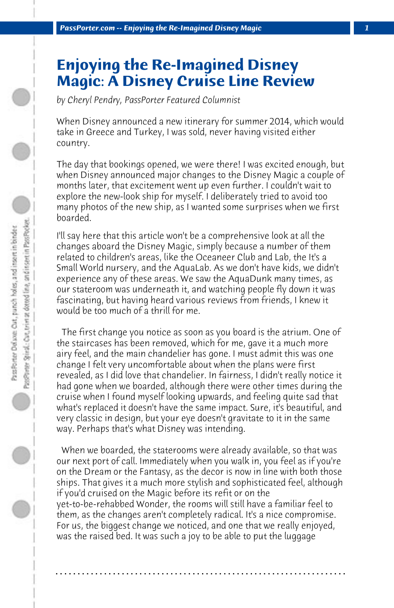## **Enjoying the Re-Imagined Disney Magic: A Disney Cruise Line Review**

*by Cheryl Pendry, PassPorter Featured Columnist*

When Disney announced a new itinerary for summer 2014, which would take in Greece and Turkey, I was sold, never having visited either country.

The day that bookings opened, we were there! I was excited enough, but when Disney announced major changes to the Disney Magic a couple of months later, that excitement went up even further. I couldn't wait to explore the new-look ship for myself. I deliberately tried to avoid too many photos of the new ship, as I wanted some surprises when we first boarded.

I'll say here that this article won't be a comprehensive look at all the changes aboard the Disney Magic, simply because a number of them related to children's areas, like the Oceaneer Club and Lab, the It's a Small World nursery, and the AquaLab. As we don't have kids, we didn't experience any of these areas. We saw the AquaDunk many times, as our stateroom was underneath it, and watching people fly down it was fascinating, but having heard various reviews from friends, I knew it would be too much of a thrill for me.

 The first change you notice as soon as you board is the atrium. One of the staircases has been removed, which for me, gave it a much more airy feel, and the main chandelier has gone. I must admit this was one change I felt very uncomfortable about when the plans were first revealed, as I did love that chandelier. In fairness, I didn't really notice it had gone when we boarded, although there were other times during the cruise when I found myself looking upwards, and feeling quite sad that what's replaced it doesn't have the same impact. Sure, it's beautiful, and very classic in design, but your eye doesn't gravitate to it in the same way. Perhaps that's what Disney was intending.

 When we boarded, the staterooms were already available, so that was our next port of call. Immediately when you walk in, you feel as if you're on the Dream or the Fantasy, as the decor is now in line with both those ships. That gives it a much more stylish and sophisticated feel, although if you'd cruised on the Magic before its refit or on the yet-to-be-rehabbed Wonder, the rooms will still have a familiar feel to them, as the changes aren't completely radical. It's a nice compromise. For us, the biggest change we noticed, and one that we really enjoyed, was the raised bed. It was such a joy to be able to put the luggage

**. . . . . . . . . . . . . . . . . . . . . . . . . . . . . . . . . . . . . . . . . . . . . . . . . . . . . . . . . . . . . . . . . .**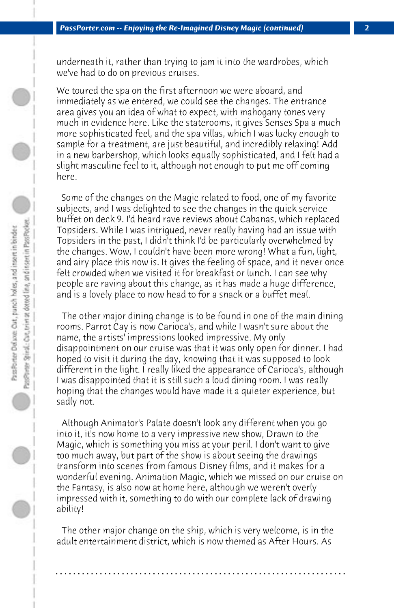underneath it, rather than trying to jam it into the wardrobes, which we've had to do on previous cruises.

We toured the spa on the first afternoon we were aboard, and immediately as we entered, we could see the changes. The entrance area gives you an idea of what to expect, with mahogany tones very much in evidence here. Like the staterooms, it gives Senses Spa a much more sophisticated feel, and the spa villas, which I was lucky enough to sample for a treatment, are just beautiful, and incredibly relaxing! Add in a new barbershop, which looks equally sophisticated, and I felt had a slight masculine feel to it, although not enough to put me off coming here.

 Some of the changes on the Magic related to food, one of my favorite subjects, and I was delighted to see the changes in the quick service buffet on deck 9. I'd heard rave reviews about Cabanas, which replaced Topsiders. While I was intrigued, never really having had an issue with Topsiders in the past, I didn't think I'd be particularly overwhelmed by the changes. Wow, I couldn't have been more wrong! What a fun, light, and airy place this now is. It gives the feeling of space, and it never once felt crowded when we visited it for breakfast or lunch. I can see why people are raving about this change, as it has made a huge difference, and is a lovely place to now head to for a snack or a buffet meal.

 The other major dining change is to be found in one of the main dining rooms. Parrot Cay is now Carioca's, and while I wasn't sure about the name, the artists' impressions looked impressive. My only disappointment on our cruise was that it was only open for dinner. I had hoped to visit it during the day, knowing that it was supposed to look different in the light. I really liked the appearance of Carioca's, although I was disappointed that it is still such a loud dining room. I was really hoping that the changes would have made it a quieter experience, but sadly not.

 Although Animator's Palate doesn't look any different when you go into it, it's now home to a very impressive new show, Drawn to the Magic, which is something you miss at your peril. I don't want to give too much away, but part of the show is about seeing the drawings transform into scenes from famous Disney films, and it makes for a wonderful evening. Animation Magic, which we missed on our cruise on the Fantasy, is also now at home here, although we weren't overly impressed with it, something to do with our complete lack of drawing ability!

 The other major change on the ship, which is very welcome, is in the adult entertainment district, which is now themed as After Hours. As

**. . . . . . . . . . . . . . . . . . . . . . . . . . . . . . . . . . . . . . . . . . . . . . . . . . . . . . . . . . . . . . . . . .**